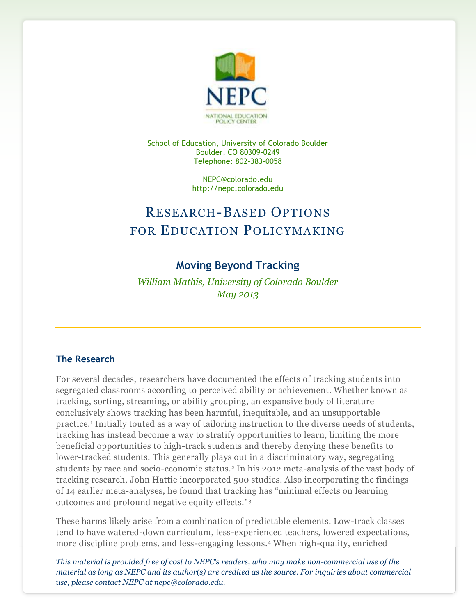

School of Education, University of Colorado Boulder Boulder, CO 80309-0249 Telephone: 802-383-0058

> NEPC@colorado.edu http://nepc.colorado.edu

# RESEARCH-BASED OPTIONS FOR EDUCATION POLICYMAKING

## **Moving Beyond Tracking**

*William Mathis, University of Colorado Boulder May 2013*

### **The Research**

For several decades, researchers have documented the effects of tracking students into segregated classrooms according to perceived ability or achievement. Whether known as tracking, sorting, streaming, or ability grouping, an expansive body of literature conclusively shows tracking has been harmful, inequitable, and an unsupportable practice.<sup>1</sup> Initially touted as a way of tailoring instruction to the diverse needs of students, tracking has instead become a way to stratify opportunities to learn, limiting the more beneficial opportunities to high-track students and thereby denying these benefits to lower-tracked students. This generally plays out in a discriminatory way, segregating students by race and socio-economic status.<sup>2</sup> In his 2012 meta-analysis of the vast body of tracking research, John Hattie incorporated 500 studies. Also incorporating the findings of 14 earlier meta-analyses, he found that tracking has "minimal effects on learning outcomes and profound negative equity effects."<sup>3</sup>

These harms likely arise from a combination of predictable elements. Low-track classes tend to have watered-down curriculum, less-experienced teachers, lowered expectations, more discipline problems, and less-engaging lessons.<sup>4</sup> When high-quality, enriched

*This material is provided free of cost to NEPC's readers, who may make non-commercial use of the material as long as NEPC and its author(s) are credited as the source. For inquiries about commercial use, please contact NEPC at nepc@colorado.edu.*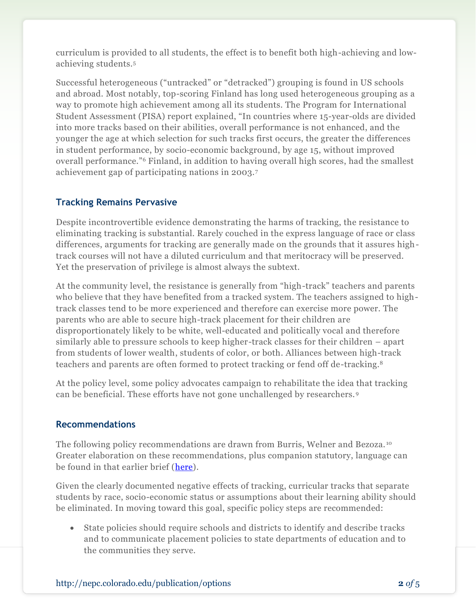curriculum is provided to all students, the effect is to benefit both high-achieving and lowachieving students.<sup>5</sup>

Successful heterogeneous ("untracked" or "detracked") grouping is found in US schools and abroad. Most notably, top-scoring Finland has long used heterogeneous grouping as a way to promote high achievement among all its students. The Program for International Student Assessment (PISA) report explained, "In countries where 15-year-olds are divided into more tracks based on their abilities, overall performance is not enhanced, and the younger the age at which selection for such tracks first occurs, the greater the differences in student performance, by socio-economic background, by age 15, without improved overall performance."<sup>6</sup> Finland, in addition to having overall high scores, had the smallest achievement gap of participating nations in 2003.<sup>7</sup>

#### **Tracking Remains Pervasive**

Despite incontrovertible evidence demonstrating the harms of tracking, the resistance to eliminating tracking is substantial. Rarely couched in the express language of race or class differences, arguments for tracking are generally made on the grounds that it assures hightrack courses will not have a diluted curriculum and that meritocracy will be preserved. Yet the preservation of privilege is almost always the subtext.

At the community level, the resistance is generally from "high-track" teachers and parents who believe that they have benefited from a tracked system. The teachers assigned to hightrack classes tend to be more experienced and therefore can exercise more power. The parents who are able to secure high-track placement for their children are disproportionately likely to be white, well-educated and politically vocal and therefore similarly able to pressure schools to keep higher-track classes for their children – apart from students of lower wealth, students of color, or both. Alliances between high-track teachers and parents are often formed to protect tracking or fend off de-tracking.<sup>8</sup>

At the policy level, some policy advocates campaign to rehabilitate the idea that tracking can be beneficial. These efforts have not gone unchallenged by researchers. <sup>9</sup>

#### **Recommendations**

The following policy recommendations are drawn from Burris, Welner and Bezoza. <sup>10</sup> Greater elaboration on these recommendations, plus companion statutory, language can be found in that earlier brief [\(here\)](http://nepc.colorado.edu/files/Epic-Epru_LB-UnivAcc-FINAL.pdf).

Given the clearly documented negative effects of tracking, curricular tracks that separate students by race, socio-economic status or assumptions about their learning ability should be eliminated. In moving toward this goal, specific policy steps are recommended:

 State policies should require schools and districts to identify and describe tracks and to communicate placement policies to state departments of education and to the communities they serve.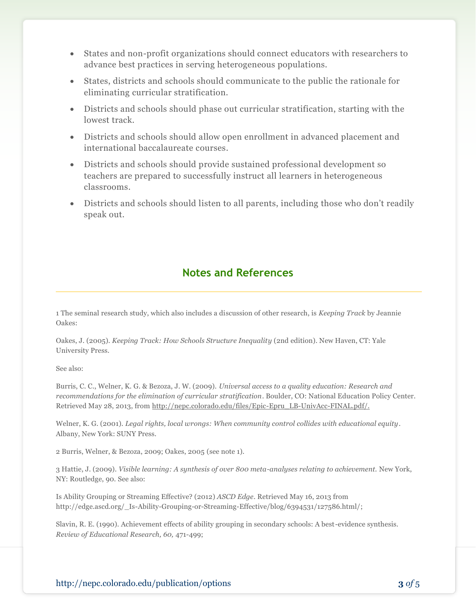- States and non-profit organizations should connect educators with researchers to advance best practices in serving heterogeneous populations.
- States, districts and schools should communicate to the public the rationale for eliminating curricular stratification.
- Districts and schools should phase out curricular stratification, starting with the lowest track.
- Districts and schools should allow open enrollment in advanced placement and international baccalaureate courses.
- Districts and schools should provide sustained professional development so teachers are prepared to successfully instruct all learners in heterogeneous classrooms.
- Districts and schools should listen to all parents, including those who don't readily speak out.

## **Notes and References**

1 The seminal research study, which also includes a discussion of other research, is *Keeping Track* by Jeannie Oakes:

Oakes, J. (2005). *Keeping Track: How Schools Structure Inequality* (2nd edition). New Haven, CT: Yale University Press.

See also:

Burris, C. C., Welner, K. G. & Bezoza, J. W. (2009). *Universal access to a quality education: Research and recommendations for the elimination of curricular stratification*. Boulder, CO: National Education Policy Center. Retrieved May 28, 2013, from [http://nepc.colorado.edu/files/Epic-Epru\\_LB-UnivAcc-FINAL.pdf/](http://nepc.colorado.edu/files/Epic-Epru_LB-UnivAcc-FINAL.pdf).

Welner, K. G. (2001). *Legal rights, local wrongs: When community control collides with educational equity*. Albany, New York: SUNY Press.

2 Burris, Welner, & Bezoza, 2009; Oakes, 2005 (see note 1).

3 Hattie, J. (2009). *Visible learning: A synthesis of over 800 meta-analyses relating to achievement.* New York, NY: Routledge, 90. See also:

Is Ability Grouping or Streaming Effective? (2012) *ASCD Edge*. Retrieved May 16, 2013 from http://edge.ascd.org/\_Is-Ability-Grouping-or-Streaming-Effective/blog/6394531/127586.html/;

Slavin, R. E. (1990). Achievement effects of ability grouping in secondary schools: A best-evidence synthesis. *Review of Educational Research, 60,* 471-499;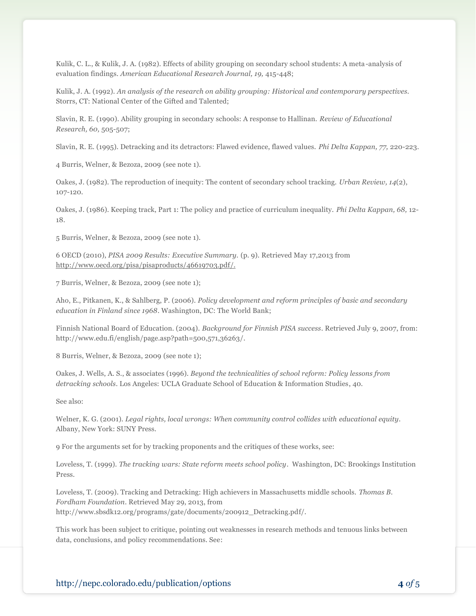Kulik, C. L., & Kulik, J. A. (1982). Effects of ability grouping on secondary school students: A meta-analysis of evaluation findings. *American Educational Research Journal, 19,* 415-448;

Kulik, J. A. (1992). *An analysis of the research on ability grouping: Historical and contemporary perspectives.*  Storrs, CT: National Center of the Gifted and Talented;

Slavin, R. E. (1990). Ability grouping in secondary schools: A response to Hallinan. *Review of Educational Research, 60,* 505-507;

Slavin, R. E. (1995). Detracking and its detractors: Flawed evidence, flawed values. *Phi Delta Kappan, 77,* 220-223.

4 Burris, Welner, & Bezoza, 2009 (see note 1).

Oakes, J. (1982). The reproduction of inequity: The content of secondary school tracking. *Urban Review, 14*(2), 107-120.

Oakes, J. (1986). Keeping track, Part 1: The policy and practice of curriculum inequality. *Phi Delta Kappan, 68,* 12- 18.

5 Burris, Welner, & Bezoza, 2009 (see note 1).

6 OECD (2010), *PISA 2009 Results: Executive Summary.* (p. 9). Retrieved May 17,2013 from [http://www.oecd.org/pisa/pisaproducts/46619703.pdf/](http://www.oecd.org/pisa/pisaproducts/46619703.pdf).

7 Burris, Welner, & Bezoza, 2009 (see note 1);

Aho, E., Pitkanen, K., & Sahlberg, P. (2006). *Policy development and reform principles of basic and secondary education in Finland since 1968*. Washington, DC: The World Bank;

Finnish National Board of Education. (2004). *Background for Finnish PISA success*. Retrieved July 9, 2007, from: http://www.edu.fi/english/page.asp?path=500,571,36263/.

8 Burris, Welner, & Bezoza, 2009 (see note 1);

Oakes, J. Wells, A. S., & associates (1996). *Beyond the technicalities of school reform: Policy lessons from detracking schools*. Los Angeles: UCLA Graduate School of Education & Information Studies, 40.

See also:

Welner, K. G. (2001). *Legal rights, local wrongs: When community control collides with educational equity*. Albany, New York: SUNY Press.

9 For the arguments set for by tracking proponents and the critiques of these works, see:

Loveless, T. (1999). *The tracking wars: State reform meets school policy*. Washington, DC: Brookings Institution Press.

Loveless, T. (2009). Tracking and Detracking: High achievers in Massachusetts middle schools. *Thomas B. Fordham Foundation*. Retrieved May 29, 2013, from http://www.sbsdk12.org/programs/gate/documents/200912\_Detracking.pdf/.

This work has been subject to critique, pointing out weaknesses in research methods and tenuous links between data, conclusions, and policy recommendations. See: